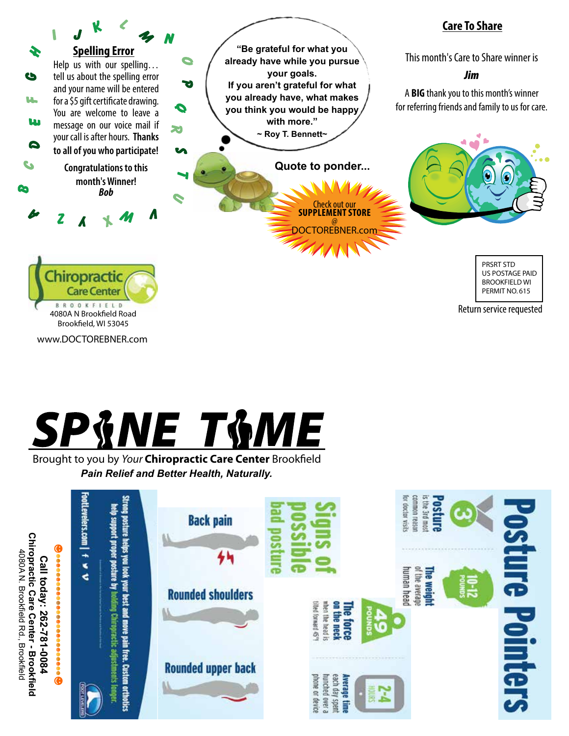

www.DOCTOREBNER.com



Brought to you by *Your* Chiropractic Care Center Brookfield *Pain Relief and Better Health, Naturally.*

| <b>Chiropractic</b><br>O)<br>$\bullet$<br>$\bullet$                                                                                                                                                                                                                       | FootLevelers.com<br>$\ddot{\phantom{1}}$                                                                                                                         | <b>Back pain</b>          | for doctor wisits<br>common reason<br>s the 3rd most<br>osture                                                                       |  |
|---------------------------------------------------------------------------------------------------------------------------------------------------------------------------------------------------------------------------------------------------------------------------|------------------------------------------------------------------------------------------------------------------------------------------------------------------|---------------------------|--------------------------------------------------------------------------------------------------------------------------------------|--|
| 4080AN.<br>Call<br>$\bullet$<br>$\ddot{\bullet}$<br>today:<br>◉<br>Brookfield Rd.,<br>Š<br>Care<br>◉<br>262-<br>Center<br>$\tilde{\bullet}$<br>$\approx$<br>⊕<br><b>Brookfield</b><br>⊕<br><b>Brookfield</b><br>+800<br>◉<br>$\bullet\bullet\bullet\bullet$<br>$\bigcirc$ | Strong posture helps you look your best and move pain free. Custom orthotics<br>help support proper posture by holding Chiropractic adjustments longer<br>≤<br>¢ | <b>Rounded shoulders</b>  | of the average<br>human head<br>The weight<br>$1-1$<br>tited forward 45°<br>when the head is<br>å<br>au<br>iorce<br><b>neck</b><br>ь |  |
|                                                                                                                                                                                                                                                                           |                                                                                                                                                                  | <b>Rounded upper back</b> | <b>Pointers</b><br>phone or device<br>hunched<br>each day<br>Average<br>SWN08<br>OVEL 8<br>apent<br>fime                             |  |